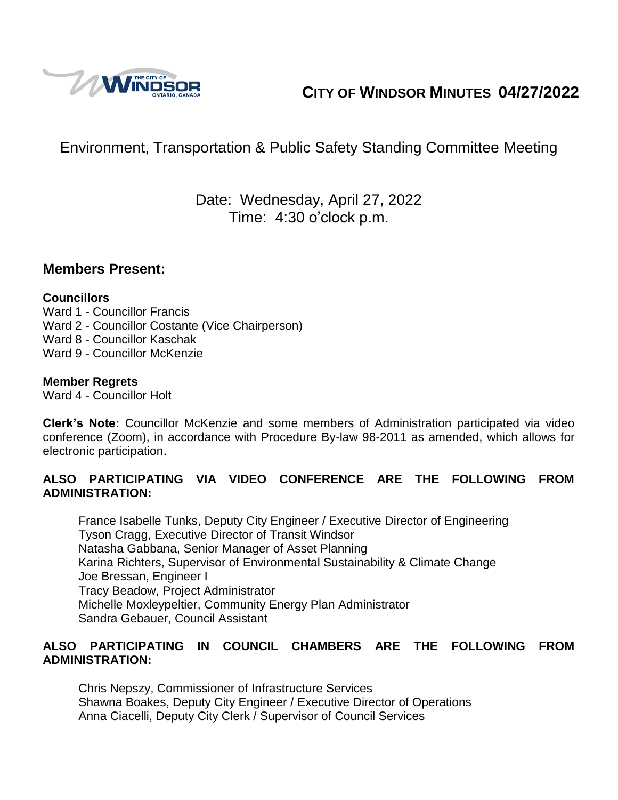

# **CITY OF WINDSOR MINUTES 04/27/2022**

# Environment, Transportation & Public Safety Standing Committee Meeting

## Date: Wednesday, April 27, 2022 Time: 4:30 o'clock p.m.

### **Members Present:**

#### **Councillors**

Ward 1 - Councillor Francis Ward 2 - Councillor Costante (Vice Chairperson) Ward 8 - Councillor Kaschak Ward 9 - Councillor McKenzie

#### **Member Regrets**

Ward 4 - Councillor Holt

**Clerk's Note:** Councillor McKenzie and some members of Administration participated via video conference (Zoom), in accordance with Procedure By-law 98-2011 as amended, which allows for electronic participation.

#### **ALSO PARTICIPATING VIA VIDEO CONFERENCE ARE THE FOLLOWING FROM ADMINISTRATION:**

France Isabelle Tunks, Deputy City Engineer / Executive Director of Engineering Tyson Cragg, Executive Director of Transit Windsor Natasha Gabbana, Senior Manager of Asset Planning Karina Richters, Supervisor of Environmental Sustainability & Climate Change Joe Bressan, Engineer I Tracy Beadow, Project Administrator Michelle Moxleypeltier, Community Energy Plan Administrator Sandra Gebauer, Council Assistant

#### **ALSO PARTICIPATING IN COUNCIL CHAMBERS ARE THE FOLLOWING FROM ADMINISTRATION:**

Chris Nepszy, Commissioner of Infrastructure Services Shawna Boakes, Deputy City Engineer / Executive Director of Operations Anna Ciacelli, Deputy City Clerk / Supervisor of Council Services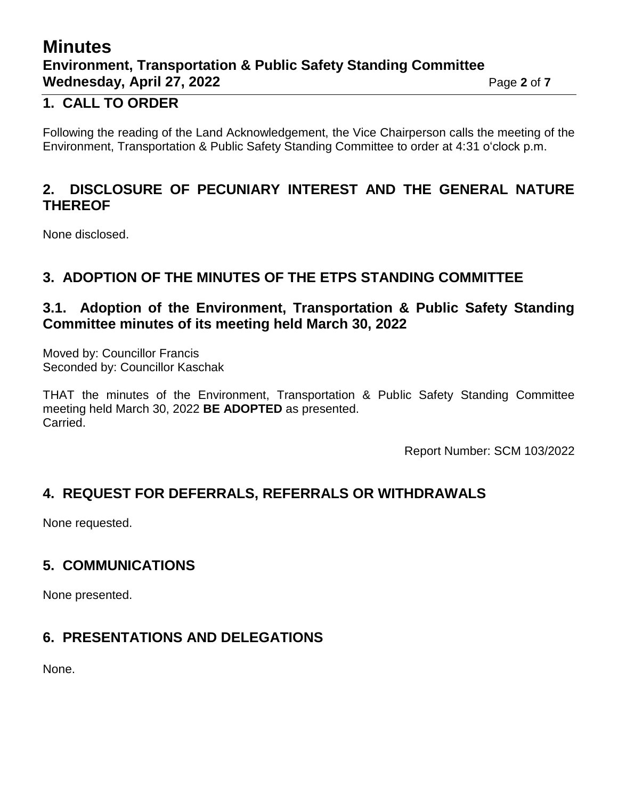# **Minutes Environment, Transportation & Public Safety Standing Committee Wednesday, April 27, 2022** Page 2 of 7

### **1. CALL TO ORDER**

Following the reading of the Land Acknowledgement, the Vice Chairperson calls the meeting of the Environment, Transportation & Public Safety Standing Committee to order at 4:31 o'clock p.m.

### **2. DISCLOSURE OF PECUNIARY INTEREST AND THE GENERAL NATURE THEREOF**

None disclosed.

### **3. ADOPTION OF THE MINUTES OF THE ETPS STANDING COMMITTEE**

### **3.1. Adoption of the Environment, Transportation & Public Safety Standing Committee minutes of its meeting held March 30, 2022**

Moved by: Councillor Francis Seconded by: Councillor Kaschak

THAT the minutes of the Environment, Transportation & Public Safety Standing Committee meeting held March 30, 2022 **BE ADOPTED** as presented. Carried.

Report Number: SCM 103/2022

## **4. REQUEST FOR DEFERRALS, REFERRALS OR WITHDRAWALS**

None requested.

## **5. COMMUNICATIONS**

None presented.

## **6. PRESENTATIONS AND DELEGATIONS**

None.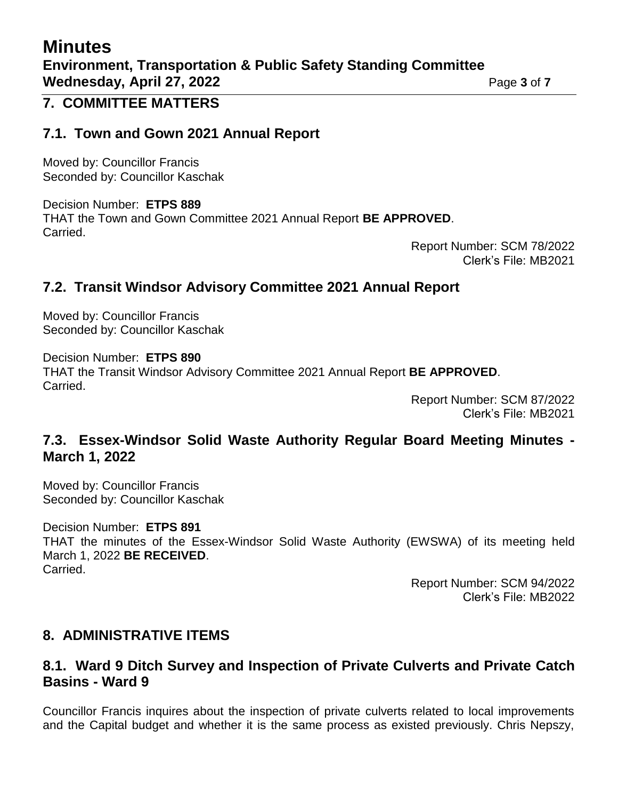# **Minutes Environment, Transportation & Public Safety Standing Committee Wednesday, April 27, 2022** Page 3 of 7

### **7. COMMITTEE MATTERS**

### **7.1. Town and Gown 2021 Annual Report**

Moved by: Councillor Francis Seconded by: Councillor Kaschak

Decision Number: **ETPS 889** THAT the Town and Gown Committee 2021 Annual Report **BE APPROVED**. Carried.

> Report Number: SCM 78/2022 Clerk's File: MB2021

### **7.2. Transit Windsor Advisory Committee 2021 Annual Report**

Moved by: Councillor Francis Seconded by: Councillor Kaschak

Decision Number: **ETPS 890** THAT the Transit Windsor Advisory Committee 2021 Annual Report **BE APPROVED**. Carried.

Report Number: SCM 87/2022 Clerk's File: MB2021

### **7.3. Essex-Windsor Solid Waste Authority Regular Board Meeting Minutes - March 1, 2022**

Moved by: Councillor Francis Seconded by: Councillor Kaschak

Decision Number: **ETPS 891** THAT the minutes of the Essex-Windsor Solid Waste Authority (EWSWA) of its meeting held March 1, 2022 **BE RECEIVED**. Carried.

> Report Number: SCM 94/2022 Clerk's File: MB2022

### **8. ADMINISTRATIVE ITEMS**

### **8.1. Ward 9 Ditch Survey and Inspection of Private Culverts and Private Catch Basins - Ward 9**

Councillor Francis inquires about the inspection of private culverts related to local improvements and the Capital budget and whether it is the same process as existed previously. Chris Nepszy,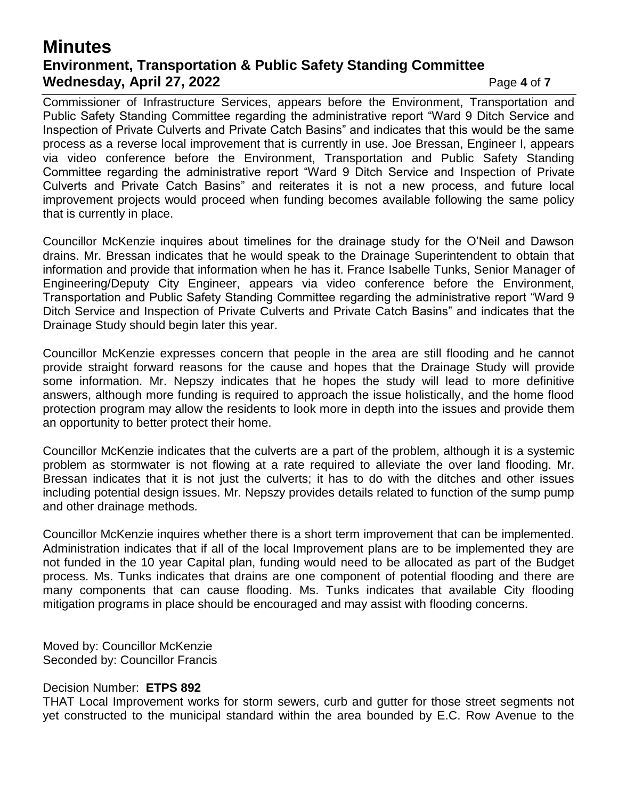## **Minutes Environment, Transportation & Public Safety Standing Committee Wednesday, April 27, 2022** Page 4 of 7

Commissioner of Infrastructure Services, appears before the Environment, Transportation and Public Safety Standing Committee regarding the administrative report "Ward 9 Ditch Service and Inspection of Private Culverts and Private Catch Basins" and indicates that this would be the same process as a reverse local improvement that is currently in use. Joe Bressan, Engineer I, appears via video conference before the Environment, Transportation and Public Safety Standing Committee regarding the administrative report "Ward 9 Ditch Service and Inspection of Private Culverts and Private Catch Basins" and reiterates it is not a new process, and future local improvement projects would proceed when funding becomes available following the same policy that is currently in place.

Councillor McKenzie inquires about timelines for the drainage study for the O'Neil and Dawson drains. Mr. Bressan indicates that he would speak to the Drainage Superintendent to obtain that information and provide that information when he has it. France Isabelle Tunks, Senior Manager of Engineering/Deputy City Engineer, appears via video conference before the Environment, Transportation and Public Safety Standing Committee regarding the administrative report "Ward 9 Ditch Service and Inspection of Private Culverts and Private Catch Basins" and indicates that the Drainage Study should begin later this year.

Councillor McKenzie expresses concern that people in the area are still flooding and he cannot provide straight forward reasons for the cause and hopes that the Drainage Study will provide some information. Mr. Nepszy indicates that he hopes the study will lead to more definitive answers, although more funding is required to approach the issue holistically, and the home flood protection program may allow the residents to look more in depth into the issues and provide them an opportunity to better protect their home.

Councillor McKenzie indicates that the culverts are a part of the problem, although it is a systemic problem as stormwater is not flowing at a rate required to alleviate the over land flooding. Mr. Bressan indicates that it is not just the culverts; it has to do with the ditches and other issues including potential design issues. Mr. Nepszy provides details related to function of the sump pump and other drainage methods.

Councillor McKenzie inquires whether there is a short term improvement that can be implemented. Administration indicates that if all of the local Improvement plans are to be implemented they are not funded in the 10 year Capital plan, funding would need to be allocated as part of the Budget process. Ms. Tunks indicates that drains are one component of potential flooding and there are many components that can cause flooding. Ms. Tunks indicates that available City flooding mitigation programs in place should be encouraged and may assist with flooding concerns.

Moved by: Councillor McKenzie Seconded by: Councillor Francis

#### Decision Number: **ETPS 892**

THAT Local Improvement works for storm sewers, curb and gutter for those street segments not yet constructed to the municipal standard within the area bounded by E.C. Row Avenue to the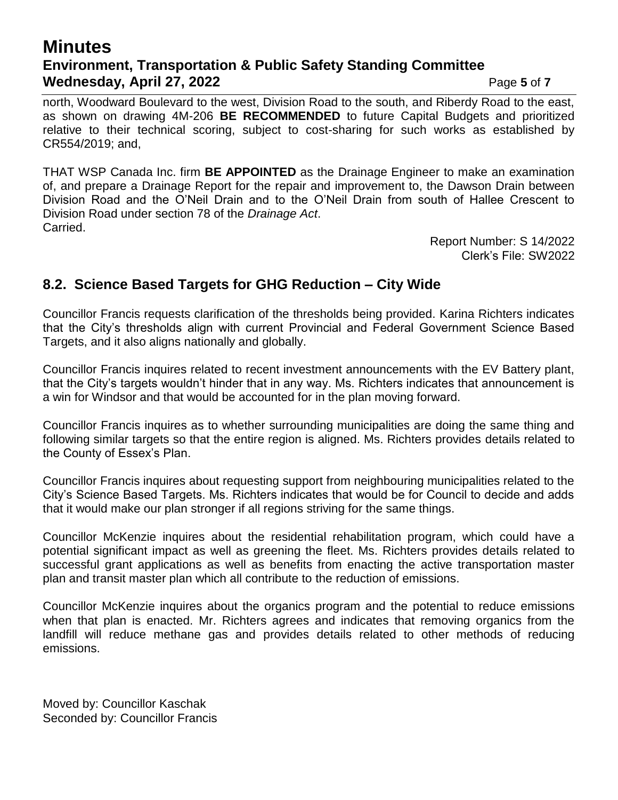### **Minutes Environment, Transportation & Public Safety Standing Committee Wednesday, April 27, 2022** Page 5 of 7

north, Woodward Boulevard to the west, Division Road to the south, and Riberdy Road to the east, as shown on drawing 4M-206 **BE RECOMMENDED** to future Capital Budgets and prioritized relative to their technical scoring, subject to cost-sharing for such works as established by CR554/2019; and,

THAT WSP Canada Inc. firm **BE APPOINTED** as the Drainage Engineer to make an examination of, and prepare a Drainage Report for the repair and improvement to, the Dawson Drain between Division Road and the O'Neil Drain and to the O'Neil Drain from south of Hallee Crescent to Division Road under section 78 of the *Drainage Act*. Carried.

> Report Number: S 14/2022 Clerk's File: SW2022

### **8.2. Science Based Targets for GHG Reduction – City Wide**

Councillor Francis requests clarification of the thresholds being provided. Karina Richters indicates that the City's thresholds align with current Provincial and Federal Government Science Based Targets, and it also aligns nationally and globally.

Councillor Francis inquires related to recent investment announcements with the EV Battery plant, that the City's targets wouldn't hinder that in any way. Ms. Richters indicates that announcement is a win for Windsor and that would be accounted for in the plan moving forward.

Councillor Francis inquires as to whether surrounding municipalities are doing the same thing and following similar targets so that the entire region is aligned. Ms. Richters provides details related to the County of Essex's Plan.

Councillor Francis inquires about requesting support from neighbouring municipalities related to the City's Science Based Targets. Ms. Richters indicates that would be for Council to decide and adds that it would make our plan stronger if all regions striving for the same things.

Councillor McKenzie inquires about the residential rehabilitation program, which could have a potential significant impact as well as greening the fleet. Ms. Richters provides details related to successful grant applications as well as benefits from enacting the active transportation master plan and transit master plan which all contribute to the reduction of emissions.

Councillor McKenzie inquires about the organics program and the potential to reduce emissions when that plan is enacted. Mr. Richters agrees and indicates that removing organics from the landfill will reduce methane gas and provides details related to other methods of reducing emissions.

Moved by: Councillor Kaschak Seconded by: Councillor Francis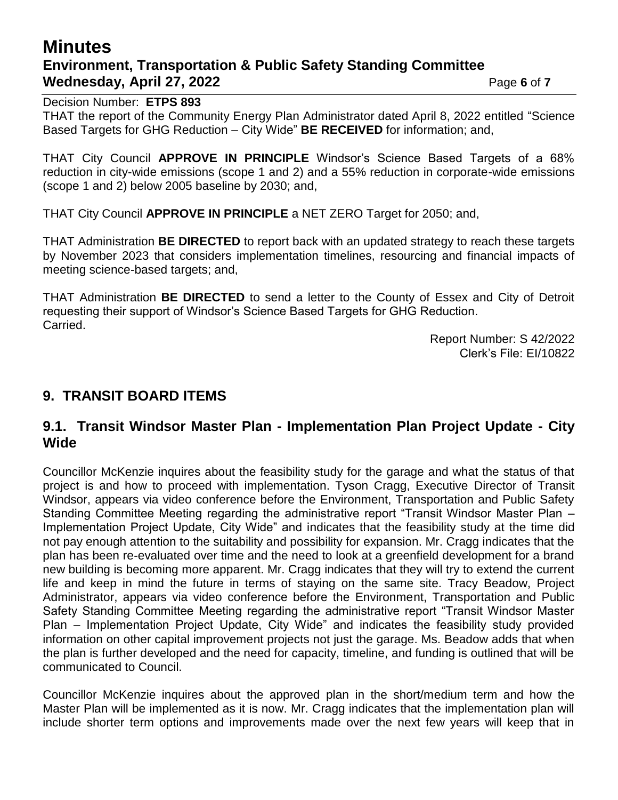# **Minutes Environment, Transportation & Public Safety Standing Committee Wednesday, April 27, 2022** Page 6 of 7

Decision Number: **ETPS 893**

THAT the report of the Community Energy Plan Administrator dated April 8, 2022 entitled "Science Based Targets for GHG Reduction – City Wide" **BE RECEIVED** for information; and,

THAT City Council **APPROVE IN PRINCIPLE** Windsor's Science Based Targets of a 68% reduction in city-wide emissions (scope 1 and 2) and a 55% reduction in corporate-wide emissions (scope 1 and 2) below 2005 baseline by 2030; and,

THAT City Council **APPROVE IN PRINCIPLE** a NET ZERO Target for 2050; and,

THAT Administration **BE DIRECTED** to report back with an updated strategy to reach these targets by November 2023 that considers implementation timelines, resourcing and financial impacts of meeting science-based targets; and,

THAT Administration **BE DIRECTED** to send a letter to the County of Essex and City of Detroit requesting their support of Windsor's Science Based Targets for GHG Reduction. Carried.

Report Number: S 42/2022 Clerk's File: EI/10822

### **9. TRANSIT BOARD ITEMS**

### **9.1. Transit Windsor Master Plan - Implementation Plan Project Update - City Wide**

Councillor McKenzie inquires about the feasibility study for the garage and what the status of that project is and how to proceed with implementation. Tyson Cragg, Executive Director of Transit Windsor, appears via video conference before the Environment, Transportation and Public Safety Standing Committee Meeting regarding the administrative report "Transit Windsor Master Plan – Implementation Project Update, City Wide" and indicates that the feasibility study at the time did not pay enough attention to the suitability and possibility for expansion. Mr. Cragg indicates that the plan has been re-evaluated over time and the need to look at a greenfield development for a brand new building is becoming more apparent. Mr. Cragg indicates that they will try to extend the current life and keep in mind the future in terms of staying on the same site. Tracy Beadow, Project Administrator, appears via video conference before the Environment, Transportation and Public Safety Standing Committee Meeting regarding the administrative report "Transit Windsor Master Plan – Implementation Project Update, City Wide" and indicates the feasibility study provided information on other capital improvement projects not just the garage. Ms. Beadow adds that when the plan is further developed and the need for capacity, timeline, and funding is outlined that will be communicated to Council.

Councillor McKenzie inquires about the approved plan in the short/medium term and how the Master Plan will be implemented as it is now. Mr. Cragg indicates that the implementation plan will include shorter term options and improvements made over the next few years will keep that in